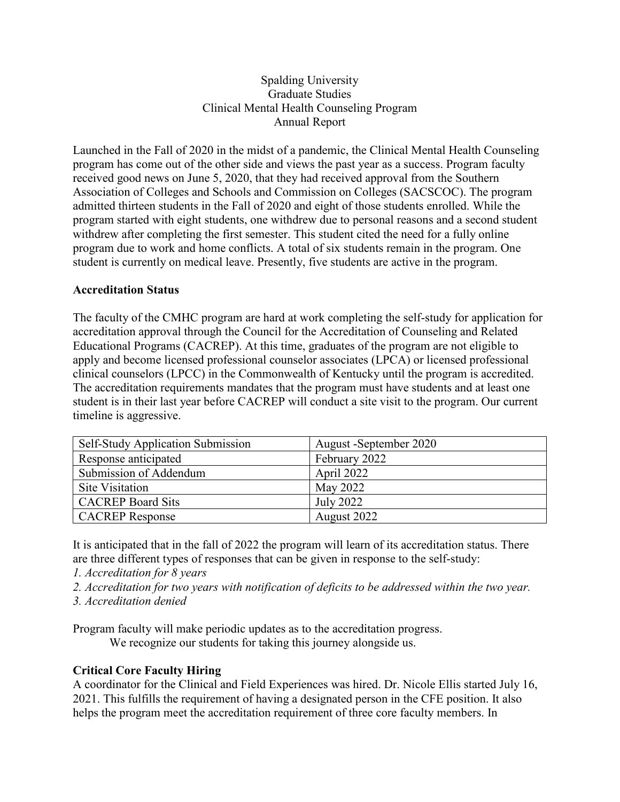## Spalding University Graduate Studies Clinical Mental Health Counseling Program Annual Report

Launched in the Fall of 2020 in the midst of a pandemic, the Clinical Mental Health Counseling program has come out of the other side and views the past year as a success. Program faculty received good news on June 5, 2020, that they had received approval from the Southern Association of Colleges and Schools and Commission on Colleges (SACSCOC). The program admitted thirteen students in the Fall of 2020 and eight of those students enrolled. While the program started with eight students, one withdrew due to personal reasons and a second student withdrew after completing the first semester. This student cited the need for a fully online program due to work and home conflicts. A total of six students remain in the program. One student is currently on medical leave. Presently, five students are active in the program.

## **Accreditation Status**

The faculty of the CMHC program are hard at work completing the self-study for application for accreditation approval through the Council for the Accreditation of Counseling and Related Educational Programs (CACREP). At this time, graduates of the program are not eligible to apply and become licensed professional counselor associates (LPCA) or licensed professional clinical counselors (LPCC) in the Commonwealth of Kentucky until the program is accredited. The accreditation requirements mandates that the program must have students and at least one student is in their last year before CACREP will conduct a site visit to the program. Our current timeline is aggressive.

| Self-Study Application Submission | August -September 2020 |
|-----------------------------------|------------------------|
| Response anticipated              | February 2022          |
| Submission of Addendum            | April 2022             |
| <b>Site Visitation</b>            | May 2022               |
| <b>CACREP</b> Board Sits          | July 2022              |
| <b>CACREP</b> Response            | August 2022            |

It is anticipated that in the fall of 2022 the program will learn of its accreditation status. There are three different types of responses that can be given in response to the self-study:

*1. Accreditation for 8 years*

- *2. Accreditation for two years with notification of deficits to be addressed within the two year.*
- *3. Accreditation denied*

Program faculty will make periodic updates as to the accreditation progress.

We recognize our students for taking this journey alongside us.

# **Critical Core Faculty Hiring**

A coordinator for the Clinical and Field Experiences was hired. Dr. Nicole Ellis started July 16, 2021. This fulfills the requirement of having a designated person in the CFE position. It also helps the program meet the accreditation requirement of three core faculty members. In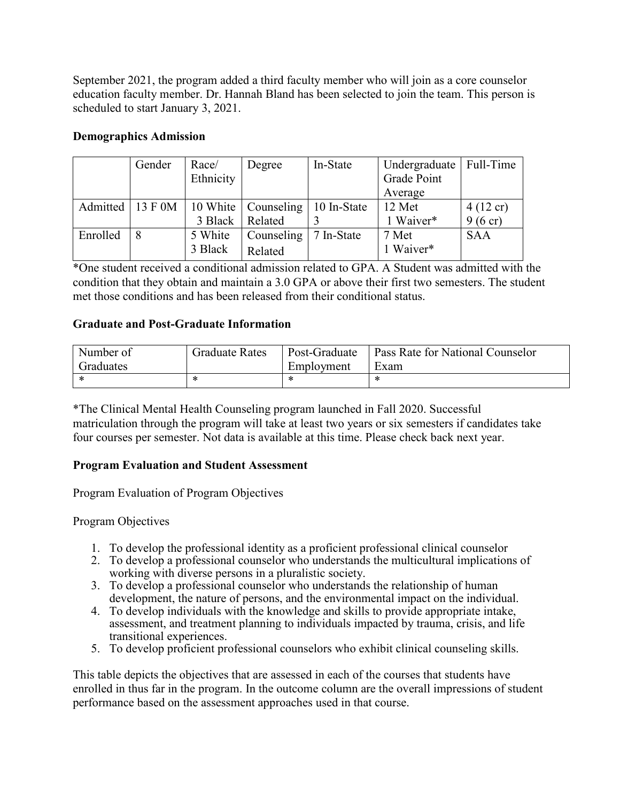September 2021, the program added a third faculty member who will join as a core counselor education faculty member. Dr. Hannah Bland has been selected to join the team. This person is scheduled to start January 3, 2021.

## **Demographics Admission**

|          | Gender | Race/     | Degree                                     | In-State    | Undergraduate   Full-Time |                    |
|----------|--------|-----------|--------------------------------------------|-------------|---------------------------|--------------------|
|          |        | Ethnicity |                                            |             | Grade Point               |                    |
|          |        |           |                                            |             | Average                   |                    |
|          |        |           | Admitted   13 F 0M   10 White   Counseling | 10 In-State | $12$ Met                  | $4(12 \text{ cr})$ |
|          |        |           | 3 Black   Related                          |             | 1 Waiver*                 | $9(6 \text{ cr})$  |
| Enrolled | 8      | 5 White   | Counseling                                 | 7 In-State  | 7 Met                     | <b>SAA</b>         |
|          |        | 3 Black   | Related                                    |             | 1 Waiver*                 |                    |

\*One student received a conditional admission related to GPA. A Student was admitted with the condition that they obtain and maintain a 3.0 GPA or above their first two semesters. The student met those conditions and has been released from their conditional status.

## **Graduate and Post-Graduate Information**

| Number of | <b>Graduate Rates</b> | Post-Graduate | Pass Rate for National Counselor |
|-----------|-----------------------|---------------|----------------------------------|
| Graduates |                       | Employment    | Exam                             |
| ∗         | ÷                     | ж             | $\sim$                           |

\*The Clinical Mental Health Counseling program launched in Fall 2020. Successful matriculation through the program will take at least two years or six semesters if candidates take four courses per semester. Not data is available at this time. Please check back next year.

#### **Program Evaluation and Student Assessment**

Program Evaluation of Program Objectives

# Program Objectives

- 1. To develop the professional identity as a proficient professional clinical counselor
- 2. To develop a professional counselor who understands the multicultural implications of working with diverse persons in a pluralistic society.
- 3. To develop a professional counselor who understands the relationship of human development, the nature of persons, and the environmental impact on the individual.
- 4. To develop individuals with the knowledge and skills to provide appropriate intake, assessment, and treatment planning to individuals impacted by trauma, crisis, and life transitional experiences.
- 5. To develop proficient professional counselors who exhibit clinical counseling skills.

This table depicts the objectives that are assessed in each of the courses that students have enrolled in thus far in the program. In the outcome column are the overall impressions of student performance based on the assessment approaches used in that course.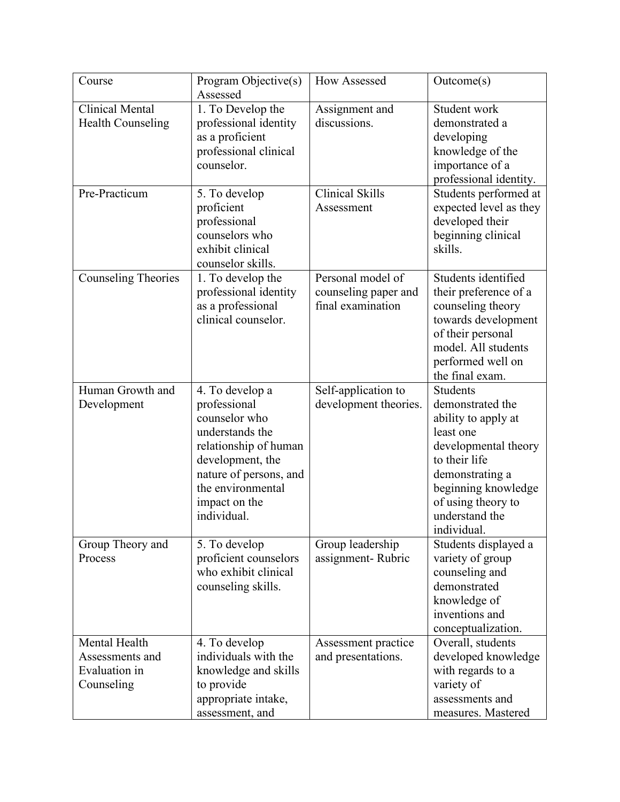| Course                                                          | Program Objective(s)<br>Assessed                                                                                                                                                                | <b>How Assessed</b>                                            | Outcome(s)                                                                                                                                                                                                        |
|-----------------------------------------------------------------|-------------------------------------------------------------------------------------------------------------------------------------------------------------------------------------------------|----------------------------------------------------------------|-------------------------------------------------------------------------------------------------------------------------------------------------------------------------------------------------------------------|
| <b>Clinical Mental</b><br><b>Health Counseling</b>              | 1. To Develop the<br>professional identity<br>as a proficient<br>professional clinical<br>counselor.                                                                                            | Assignment and<br>discussions.                                 | Student work<br>demonstrated a<br>developing<br>knowledge of the<br>importance of a<br>professional identity.                                                                                                     |
| Pre-Practicum                                                   | 5. To develop<br>proficient<br>professional<br>counselors who<br>exhibit clinical<br>counselor skills.                                                                                          | <b>Clinical Skills</b><br>Assessment                           | Students performed at<br>expected level as they<br>developed their<br>beginning clinical<br>skills.                                                                                                               |
| <b>Counseling Theories</b>                                      | 1. To develop the<br>professional identity<br>as a professional<br>clinical counselor.                                                                                                          | Personal model of<br>counseling paper and<br>final examination | Students identified<br>their preference of a<br>counseling theory<br>towards development<br>of their personal<br>model. All students<br>performed well on<br>the final exam.                                      |
| Human Growth and<br>Development                                 | 4. To develop a<br>professional<br>counselor who<br>understands the<br>relationship of human<br>development, the<br>nature of persons, and<br>the environmental<br>impact on the<br>individual. | Self-application to<br>development theories.                   | <b>Students</b><br>demonstrated the<br>ability to apply at<br>least one<br>developmental theory<br>to their life<br>demonstrating a<br>beginning knowledge<br>of using theory to<br>understand the<br>individual. |
| Group Theory and<br>Process                                     | 5. To develop<br>proficient counselors<br>who exhibit clinical<br>counseling skills.                                                                                                            | Group leadership<br>assignment-Rubric                          | Students displayed a<br>variety of group<br>counseling and<br>demonstrated<br>knowledge of<br>inventions and<br>conceptualization.                                                                                |
| Mental Health<br>Assessments and<br>Evaluation in<br>Counseling | 4. To develop<br>individuals with the<br>knowledge and skills<br>to provide<br>appropriate intake,<br>assessment, and                                                                           | Assessment practice<br>and presentations.                      | Overall, students<br>developed knowledge<br>with regards to a<br>variety of<br>assessments and<br>measures. Mastered                                                                                              |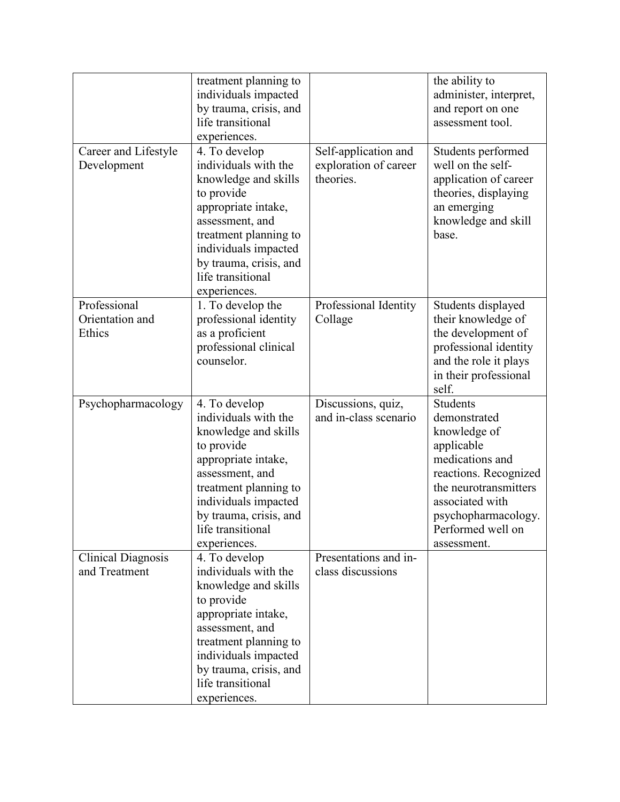| Career and Lifestyle                       | treatment planning to<br>individuals impacted<br>by trauma, crisis, and<br>life transitional<br>experiences.<br>4. To develop                                                                                                         | Self-application and                        | the ability to<br>administer, interpret,<br>and report on one<br>assessment tool.<br>Students performed                                                                                                          |
|--------------------------------------------|---------------------------------------------------------------------------------------------------------------------------------------------------------------------------------------------------------------------------------------|---------------------------------------------|------------------------------------------------------------------------------------------------------------------------------------------------------------------------------------------------------------------|
| Development                                | individuals with the<br>knowledge and skills<br>to provide<br>appropriate intake,<br>assessment, and<br>treatment planning to<br>individuals impacted<br>by trauma, crisis, and<br>life transitional<br>experiences.                  | exploration of career<br>theories.          | well on the self-<br>application of career<br>theories, displaying<br>an emerging<br>knowledge and skill<br>base.                                                                                                |
| Professional<br>Orientation and<br>Ethics  | 1. To develop the<br>professional identity<br>as a proficient<br>professional clinical<br>counselor.                                                                                                                                  | Professional Identity<br>Collage            | Students displayed<br>their knowledge of<br>the development of<br>professional identity<br>and the role it plays<br>in their professional<br>self.                                                               |
| Psychopharmacology                         | 4. To develop<br>individuals with the<br>knowledge and skills<br>to provide<br>appropriate intake,<br>assessment, and<br>treatment planning to<br>individuals impacted<br>by trauma, crisis, and<br>life transitional<br>experiences. | Discussions, quiz,<br>and in-class scenario | <b>Students</b><br>demonstrated<br>knowledge of<br>applicable<br>medications and<br>reactions. Recognized<br>the neurotransmitters<br>associated with<br>psychopharmacology.<br>Performed well on<br>assessment. |
| <b>Clinical Diagnosis</b><br>and Treatment | 4. To develop<br>individuals with the<br>knowledge and skills<br>to provide<br>appropriate intake,<br>assessment, and<br>treatment planning to<br>individuals impacted<br>by trauma, crisis, and<br>life transitional<br>experiences. | Presentations and in-<br>class discussions  |                                                                                                                                                                                                                  |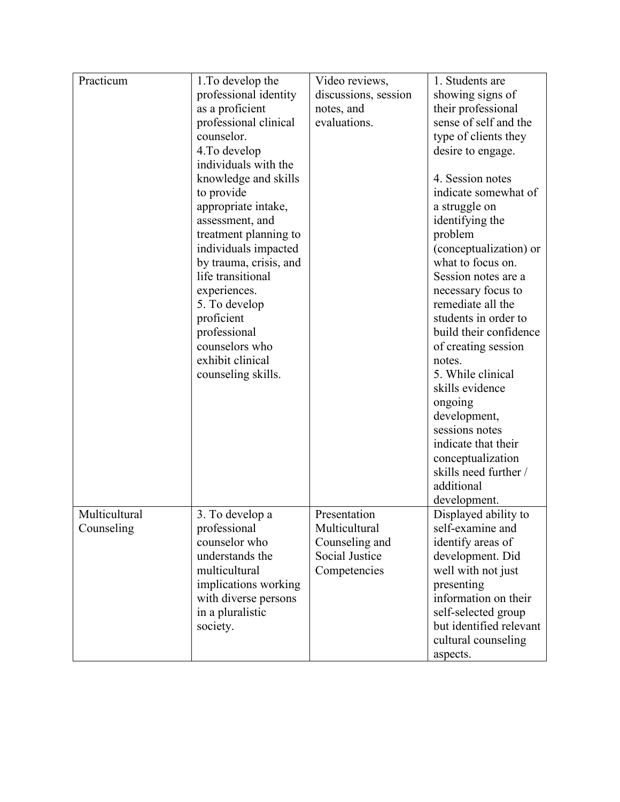| Practicum     | 1. To develop the      | Video reviews,       | 1. Students are                             |
|---------------|------------------------|----------------------|---------------------------------------------|
|               | professional identity  | discussions, session | showing signs of                            |
|               | as a proficient        | notes, and           | their professional                          |
|               | professional clinical  | evaluations.         | sense of self and the                       |
|               | counselor.             |                      | type of clients they                        |
|               | 4. To develop          |                      | desire to engage.                           |
|               | individuals with the   |                      |                                             |
|               | knowledge and skills   |                      | 4. Session notes                            |
|               | to provide             |                      | indicate somewhat of                        |
|               | appropriate intake,    |                      | a struggle on                               |
|               | assessment, and        |                      | identifying the                             |
|               | treatment planning to  |                      | problem                                     |
|               |                        |                      |                                             |
|               | individuals impacted   |                      | (conceptualization) or<br>what to focus on. |
|               | by trauma, crisis, and |                      |                                             |
|               | life transitional      |                      | Session notes are a                         |
|               | experiences.           |                      | necessary focus to                          |
|               | 5. To develop          |                      | remediate all the                           |
|               | proficient             |                      | students in order to                        |
|               | professional           |                      | build their confidence                      |
|               | counselors who         |                      | of creating session                         |
|               | exhibit clinical       |                      | notes.                                      |
|               | counseling skills.     |                      | 5. While clinical                           |
|               |                        |                      | skills evidence                             |
|               |                        |                      | ongoing                                     |
|               |                        |                      | development,                                |
|               |                        |                      | sessions notes                              |
|               |                        |                      | indicate that their                         |
|               |                        |                      | conceptualization                           |
|               |                        |                      | skills need further /                       |
|               |                        |                      | additional                                  |
|               |                        |                      | development.                                |
| Multicultural | 3. To develop a        | Presentation         | Displayed ability to                        |
| Counseling    | professional           | Multicultural        | self-examine and                            |
|               | counselor who          | Counseling and       | identify areas of                           |
|               |                        |                      |                                             |
|               | understands the        | Social Justice       | development. Did                            |
|               | multicultural          | Competencies         | well with not just                          |
|               | implications working   |                      | presenting                                  |
|               | with diverse persons   |                      | information on their                        |
|               | in a pluralistic       |                      | self-selected group                         |
|               | society.               |                      | but identified relevant                     |
|               |                        |                      | cultural counseling                         |
|               |                        |                      | aspects.                                    |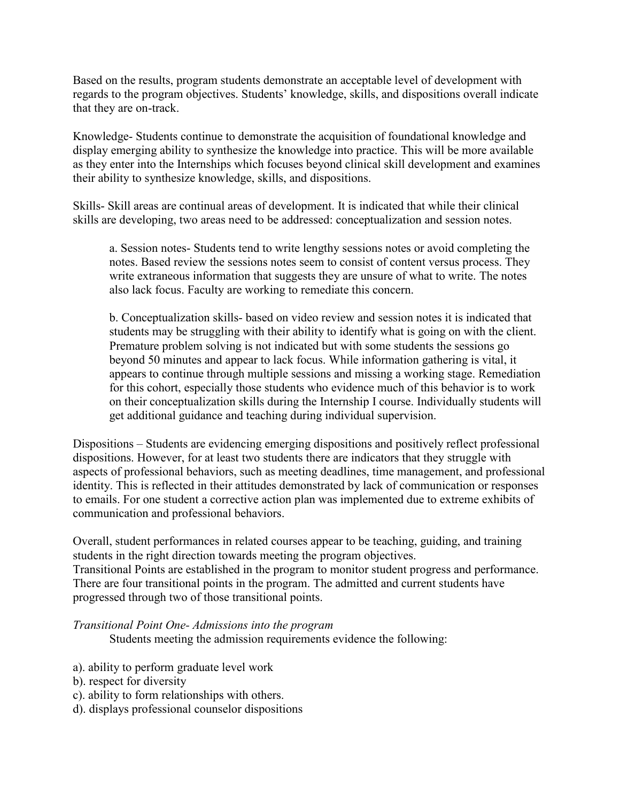Based on the results, program students demonstrate an acceptable level of development with regards to the program objectives. Students' knowledge, skills, and dispositions overall indicate that they are on-track.

Knowledge- Students continue to demonstrate the acquisition of foundational knowledge and display emerging ability to synthesize the knowledge into practice. This will be more available as they enter into the Internships which focuses beyond clinical skill development and examines their ability to synthesize knowledge, skills, and dispositions.

Skills- Skill areas are continual areas of development. It is indicated that while their clinical skills are developing, two areas need to be addressed: conceptualization and session notes.

a. Session notes- Students tend to write lengthy sessions notes or avoid completing the notes. Based review the sessions notes seem to consist of content versus process. They write extraneous information that suggests they are unsure of what to write. The notes also lack focus. Faculty are working to remediate this concern.

b. Conceptualization skills- based on video review and session notes it is indicated that students may be struggling with their ability to identify what is going on with the client. Premature problem solving is not indicated but with some students the sessions go beyond 50 minutes and appear to lack focus. While information gathering is vital, it appears to continue through multiple sessions and missing a working stage. Remediation for this cohort, especially those students who evidence much of this behavior is to work on their conceptualization skills during the Internship I course. Individually students will get additional guidance and teaching during individual supervision.

Dispositions – Students are evidencing emerging dispositions and positively reflect professional dispositions. However, for at least two students there are indicators that they struggle with aspects of professional behaviors, such as meeting deadlines, time management, and professional identity. This is reflected in their attitudes demonstrated by lack of communication or responses to emails. For one student a corrective action plan was implemented due to extreme exhibits of communication and professional behaviors.

Overall, student performances in related courses appear to be teaching, guiding, and training students in the right direction towards meeting the program objectives. Transitional Points are established in the program to monitor student progress and performance. There are four transitional points in the program. The admitted and current students have progressed through two of those transitional points.

*Transitional Point One- Admissions into the program* 

Students meeting the admission requirements evidence the following:

- a). ability to perform graduate level work
- b). respect for diversity
- c). ability to form relationships with others.
- d). displays professional counselor dispositions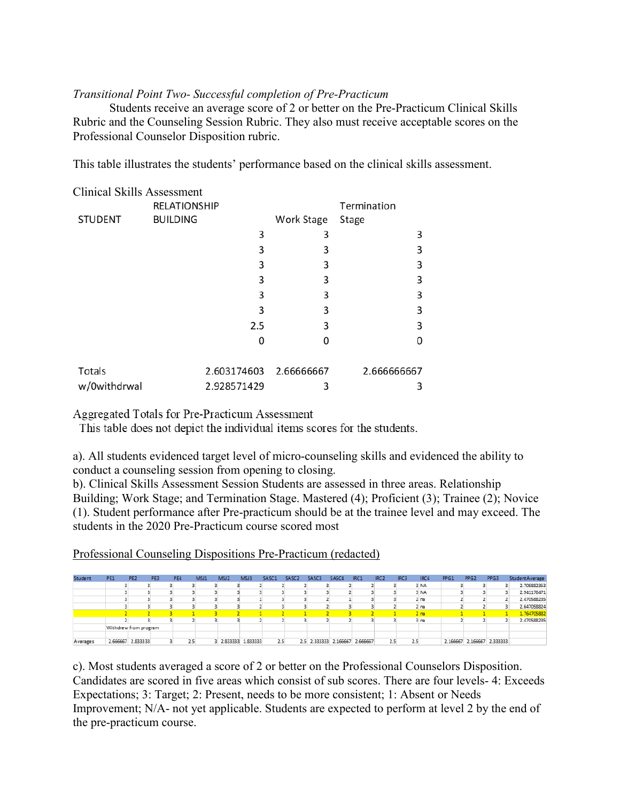# *Transitional Point Two- Successful completion of Pre-Practicum*

Students receive an average score of 2 or better on the Pre-Practicum Clinical Skills Rubric and the Counseling Session Rubric. They also must receive acceptable scores on the Professional Counselor Disposition rubric.

This table illustrates the students' performance based on the clinical skills assessment.

| <b>Clinical Skills Assessment</b> |                     |             |                        |             |
|-----------------------------------|---------------------|-------------|------------------------|-------------|
|                                   | <b>RELATIONSHIP</b> |             |                        | Termination |
| <b>STUDENT</b>                    | <b>BUILDING</b>     |             | Work Stage             | Stage       |
|                                   |                     | 3           | 3                      | 3           |
|                                   |                     | 3           | 3                      | 3           |
|                                   |                     | 3           | 3                      | 3           |
|                                   |                     | 3           | 3                      | 3           |
|                                   |                     | 3           | 3                      | 3           |
|                                   |                     | 3           | 3                      | 3           |
|                                   |                     | 2.5         | 3                      | 3           |
|                                   |                     | 0           | Ω                      | 0           |
| Totals                            |                     |             | 2.603174603 2.66666667 | 2.666666667 |
| w/0withdrwal                      |                     | 2.928571429 | 3                      | 3           |

Aggregated Totals for Pre-Practicum Assessment

This table does not depict the individual items scores for the students.

a). All students evidenced target level of micro-counseling skills and evidenced the ability to conduct a counseling session from opening to closing.

b). Clinical Skills Assessment Session Students are assessed in three areas. Relationship Building; Work Stage; and Termination Stage. Mastered (4); Proficient (3); Trainee (2); Novice (1). Student performance after Pre-practicum should be at the trainee level and may exceed. The students in the 2020 Pre-Practicum course scored most

Professional Counseling Dispositions Pre-Practicum (redacted)

| Student  | PE1 | PE <sub>2</sub>       | PE3 | PE4 | MSJ1 | MSJ <sub>2</sub> | MSJ3              | SASC1 | SASC <sub>2</sub> | SASC3 | SASC4             | IRC1     | IRC <sub>2</sub> | IRC3 | IRC4            | PPG1     | PPG <sub>2</sub> | PPG3              | StudentAverage |
|----------|-----|-----------------------|-----|-----|------|------------------|-------------------|-------|-------------------|-------|-------------------|----------|------------------|------|-----------------|----------|------------------|-------------------|----------------|
|          |     |                       |     |     |      |                  |                   |       |                   |       |                   |          |                  |      | 3 NA            |          |                  |                   | 2.705882353    |
|          |     |                       |     |     |      |                  |                   |       |                   |       |                   |          |                  |      | 3 NA            |          |                  |                   | 2.941176471    |
|          |     |                       |     |     |      |                  |                   |       |                   |       |                   |          |                  |      | 2n              |          |                  |                   | 2.470588235    |
|          |     |                       |     |     |      |                  |                   |       |                   |       |                   |          |                  |      | 2n              |          |                  |                   | 2.647058824    |
|          |     |                       |     |     |      |                  |                   |       |                   |       |                   |          |                  |      | 2 <sub>na</sub> |          |                  |                   | 1.764705882    |
|          |     |                       |     |     |      |                  |                   |       |                   |       |                   |          |                  |      | 3 na            |          |                  |                   | 2.470588235    |
|          |     | Withdrew from program |     |     |      |                  |                   |       |                   |       |                   |          |                  |      |                 |          |                  |                   |                |
|          |     |                       |     |     |      |                  |                   |       |                   |       |                   |          |                  |      |                 |          |                  |                   |                |
| Averages |     | 2.666667 2.833333     |     |     | 2.5  |                  | 2.833333 1.833333 | 2.5   | 2.5               |       | 2.333333 2.166667 | 2.666667 | 2.5              | 2.5  |                 | 2.166667 |                  | 2.166667 2.333333 |                |

c). Most students averaged a score of 2 or better on the Professional Counselors Disposition. Candidates are scored in five areas which consist of sub scores. There are four levels- 4: Exceeds Expectations; 3: Target; 2: Present, needs to be more consistent; 1: Absent or Needs Improvement; N/A- not yet applicable. Students are expected to perform at level 2 by the end of the pre-practicum course.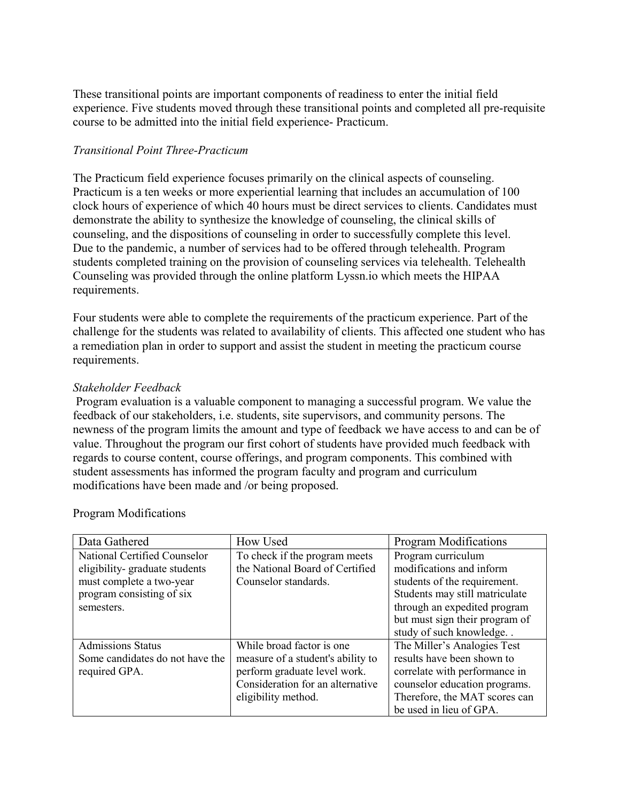These transitional points are important components of readiness to enter the initial field experience. Five students moved through these transitional points and completed all pre-requisite course to be admitted into the initial field experience- Practicum.

# *Transitional Point Three-Practicum*

The Practicum field experience focuses primarily on the clinical aspects of counseling. Practicum is a ten weeks or more experiential learning that includes an accumulation of 100 clock hours of experience of which 40 hours must be direct services to clients. Candidates must demonstrate the ability to synthesize the knowledge of counseling, the clinical skills of counseling, and the dispositions of counseling in order to successfully complete this level. Due to the pandemic, a number of services had to be offered through telehealth. Program students completed training on the provision of counseling services via telehealth. Telehealth Counseling was provided through the online platform Lyssn.io which meets the HIPAA requirements.

Four students were able to complete the requirements of the practicum experience. Part of the challenge for the students was related to availability of clients. This affected one student who has a remediation plan in order to support and assist the student in meeting the practicum course requirements.

## *Stakeholder Feedback*

Program evaluation is a valuable component to managing a successful program. We value the feedback of our stakeholders, i.e. students, site supervisors, and community persons. The newness of the program limits the amount and type of feedback we have access to and can be of value. Throughout the program our first cohort of students have provided much feedback with regards to course content, course offerings, and program components. This combined with student assessments has informed the program faculty and program and curriculum modifications have been made and /or being proposed.

| Data Gathered                   | How Used                          | Program Modifications          |
|---------------------------------|-----------------------------------|--------------------------------|
| National Certified Counselor    | To check if the program meets     | Program curriculum             |
| eligibility-graduate students   | the National Board of Certified   | modifications and inform       |
| must complete a two-year        | Counselor standards.              | students of the requirement.   |
| program consisting of six       |                                   | Students may still matriculate |
| semesters.                      |                                   | through an expedited program   |
|                                 |                                   | but must sign their program of |
|                                 |                                   | study of such knowledge        |
| <b>Admissions Status</b>        | While broad factor is one         | The Miller's Analogies Test    |
| Some candidates do not have the | measure of a student's ability to | results have been shown to     |
| required GPA.                   | perform graduate level work.      | correlate with performance in  |
|                                 | Consideration for an alternative  | counselor education programs.  |
|                                 | eligibility method.               | Therefore, the MAT scores can  |
|                                 |                                   | be used in lieu of GPA.        |

#### Program Modifications